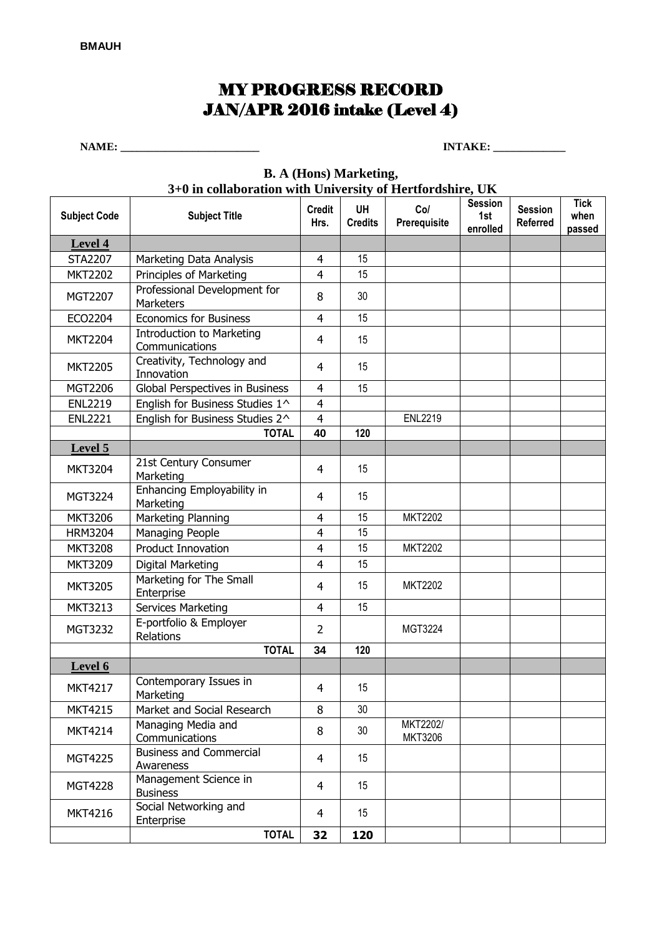## MY PROGRESS RECORD JAN/APR 2016 intake (Level 4)

**NAME: \_\_\_\_\_\_\_\_\_\_\_\_\_\_\_\_\_\_\_\_\_\_\_\_\_ INTAKE: \_\_\_\_\_\_\_\_\_\_\_\_\_** 

| 3+0 in collaboration with University of Hertfordshire, UK |                                                    |                       |                             |                     |                                   |                                   |                               |  |  |  |  |  |
|-----------------------------------------------------------|----------------------------------------------------|-----------------------|-----------------------------|---------------------|-----------------------------------|-----------------------------------|-------------------------------|--|--|--|--|--|
| <b>Subject Code</b>                                       | <b>Subject Title</b>                               | <b>Credit</b><br>Hrs. | <b>UH</b><br><b>Credits</b> | Col<br>Prerequisite | <b>Session</b><br>1st<br>enrolled | <b>Session</b><br><b>Referred</b> | <b>Tick</b><br>when<br>passed |  |  |  |  |  |
| Level 4                                                   |                                                    |                       |                             |                     |                                   |                                   |                               |  |  |  |  |  |
| <b>STA2207</b>                                            | Marketing Data Analysis                            | $\overline{4}$        | 15                          |                     |                                   |                                   |                               |  |  |  |  |  |
| <b>MKT2202</b>                                            | Principles of Marketing                            | $\overline{4}$        | 15                          |                     |                                   |                                   |                               |  |  |  |  |  |
| MGT2207                                                   | Professional Development for<br>Marketers          | 8                     | 30                          |                     |                                   |                                   |                               |  |  |  |  |  |
| ECO2204                                                   | <b>Economics for Business</b>                      | $\overline{4}$        | 15                          |                     |                                   |                                   |                               |  |  |  |  |  |
| <b>MKT2204</b>                                            | <b>Introduction to Marketing</b><br>Communications | 4                     | 15                          |                     |                                   |                                   |                               |  |  |  |  |  |
| <b>MKT2205</b>                                            | Creativity, Technology and<br>Innovation           | $\overline{4}$        | 15                          |                     |                                   |                                   |                               |  |  |  |  |  |
| MGT2206                                                   | Global Perspectives in Business                    | $\overline{4}$        | 15                          |                     |                                   |                                   |                               |  |  |  |  |  |
| <b>ENL2219</b>                                            | English for Business Studies 1^                    | $\overline{4}$        |                             |                     |                                   |                                   |                               |  |  |  |  |  |
| <b>ENL2221</b>                                            | English for Business Studies 2^                    | $\overline{4}$        |                             | <b>ENL2219</b>      |                                   |                                   |                               |  |  |  |  |  |
|                                                           | <b>TOTAL</b>                                       | 40                    | 120                         |                     |                                   |                                   |                               |  |  |  |  |  |
| Level 5                                                   |                                                    |                       |                             |                     |                                   |                                   |                               |  |  |  |  |  |
| <b>MKT3204</b>                                            | 21st Century Consumer<br>Marketing                 | 4                     | 15                          |                     |                                   |                                   |                               |  |  |  |  |  |
| MGT3224                                                   | Enhancing Employability in<br>Marketing            | $\overline{4}$        | 15                          |                     |                                   |                                   |                               |  |  |  |  |  |
| <b>MKT3206</b>                                            | Marketing Planning                                 | $\overline{4}$        | 15                          | MKT2202             |                                   |                                   |                               |  |  |  |  |  |
| <b>HRM3204</b>                                            | <b>Managing People</b>                             | $\overline{4}$        | 15                          |                     |                                   |                                   |                               |  |  |  |  |  |
| <b>MKT3208</b>                                            | <b>Product Innovation</b>                          | $\overline{4}$        | 15                          | <b>MKT2202</b>      |                                   |                                   |                               |  |  |  |  |  |
| <b>MKT3209</b>                                            | <b>Digital Marketing</b>                           | $\overline{4}$        | 15                          |                     |                                   |                                   |                               |  |  |  |  |  |
| <b>MKT3205</b>                                            | Marketing for The Small<br>Enterprise              | 4                     | 15                          | <b>MKT2202</b>      |                                   |                                   |                               |  |  |  |  |  |
| <b>MKT3213</b>                                            | <b>Services Marketing</b>                          | $\overline{4}$        | 15                          |                     |                                   |                                   |                               |  |  |  |  |  |
| MGT3232                                                   | E-portfolio & Employer<br>Relations                | $\overline{2}$        |                             | MGT3224             |                                   |                                   |                               |  |  |  |  |  |
|                                                           | <b>TOTAL</b>                                       | 34                    | 120                         |                     |                                   |                                   |                               |  |  |  |  |  |
| Level 6                                                   |                                                    |                       |                             |                     |                                   |                                   |                               |  |  |  |  |  |
| <b>MKT4217</b>                                            | Contemporary Issues in<br>Marketing                | $\overline{4}$        | 15                          |                     |                                   |                                   |                               |  |  |  |  |  |
| <b>MKT4215</b>                                            | Market and Social Research                         | 8                     | 30                          |                     |                                   |                                   |                               |  |  |  |  |  |
| <b>MKT4214</b>                                            | Managing Media and<br>Communications               | 8                     | 30 <sup>°</sup>             | MKT2202/<br>MKT3206 |                                   |                                   |                               |  |  |  |  |  |
| MGT4225                                                   | <b>Business and Commercial</b><br>Awareness        | $\overline{4}$        | 15                          |                     |                                   |                                   |                               |  |  |  |  |  |
| MGT4228                                                   | Management Science in<br><b>Business</b>           | $\overline{4}$        | 15                          |                     |                                   |                                   |                               |  |  |  |  |  |
| <b>MKT4216</b>                                            | Social Networking and<br>Enterprise                | $\overline{4}$        | 15                          |                     |                                   |                                   |                               |  |  |  |  |  |
|                                                           | <b>TOTAL</b>                                       | 32                    | 120                         |                     |                                   |                                   |                               |  |  |  |  |  |

## **B. A (Hons) Marketing,**